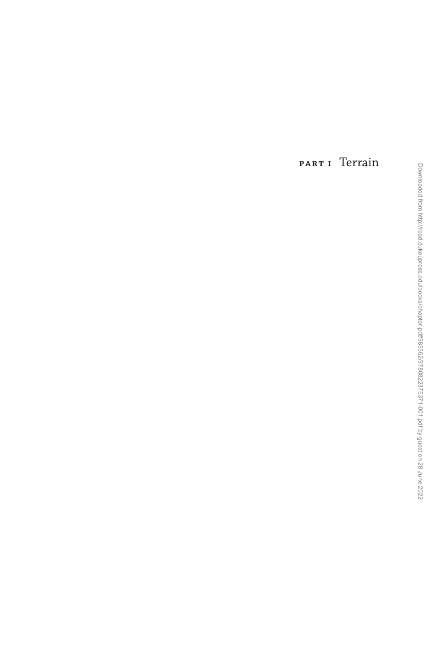**Part I** [Terrain](#page--1-0)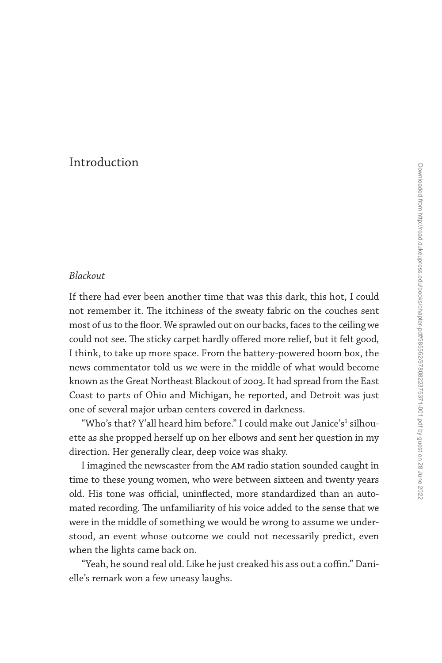# [Introduction](#page--1-0)

# *Blackout*

If there had ever been another time that was this dark, this hot, I could not remember it. The itchiness of the sweaty fabric on the couches sent most of us to the floor. We sprawled out on our backs, faces to the ceiling we could not see. The sticky carpet hardly offered more relief, but it felt good, I think, to take up more space. From the battery-powered boom box, the news commentator told us we were in the middle of what would become known as the Great Northeast Blackout of 2003. It had spread from the East Coast to parts of Ohio and Michigan, he reported, and Detroit was just one of several major urban centers covered in darkness.

"Who's that? Y'all heard him before." I could make out Janice's $^{\rm 1}$  $^{\rm 1}$  $^{\rm 1}$  silhouette as she propped herself up on her elbows and sent her question in my direction. Her generally clear, deep voice was shaky.

I imagined the newscaster from the am radio station sounded caught in time to these young women, who were between sixteen and twenty years old. His tone was official, uninflected, more standardized than an automated recording. The unfamiliarity of his voice added to the sense that we were in the middle of something we would be wrong to assume we understood, an event whose outcome we could not necessarily predict, even when the lights came back on.

"Yeah, he sound real old. Like he just creaked his ass out a coffin." Danielle's remark won a few uneasy laughs.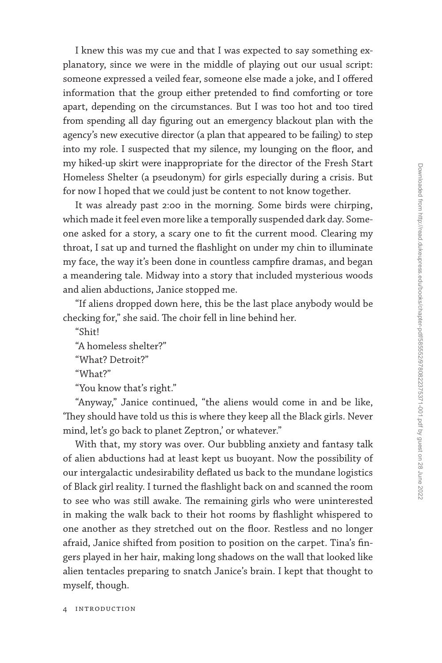I knew this was my cue and that I was expected to say something explanatory, since we were in the middle of playing out our usual script: someone expressed a veiled fear, someone else made a joke, and I offered information that the group either pretended to find comforting or tore apart, depending on the circumstances. But I was too hot and too tired from spending all day figuring out an emergency blackout plan with the agency's new executive director (a plan that appeared to be failing) to step into my role. I suspected that my silence, my lounging on the floor, and my hiked-up skirt were inappropriate for the director of the Fresh Start Homeless Shelter (a pseudonym) for girls especially during a crisis. But for now I hoped that we could just be content to not know together.

It was already past 2:00 in the morning. Some birds were chirping, which made it feel even more like a temporally suspended dark day. Someone asked for a story, a scary one to fit the current mood. Clearing my throat, I sat up and turned the flashlight on under my chin to illuminate my face, the way it's been done in countless campfire dramas, and began a meandering tale. Midway into a story that included mysterious woods and alien abductions, Janice stopped me.

"If aliens dropped down here, this be the last place anybody would be checking for," she said. The choir fell in line behind her.

"Shit!

"A homeless shelter?"

"What? Detroit?"

"What?"

"You know that's right."

"Anyway," Janice continued, "the aliens would come in and be like, 'They should have told us this is where they keep all the Black girls. Never mind, let's go back to planet Zeptron,' or whatever."

With that, my story was over. Our bubbling anxiety and fantasy talk of alien abductions had at least kept us buoyant. Now the possibility of our intergalactic undesirability deflated us back to the mundane logistics of Black girl reality. I turned the flashlight back on and scanned the room to see who was still awake. The remaining girls who were uninterested in making the walk back to their hot rooms by flashlight whispered to one another as they stretched out on the floor. Restless and no longer afraid, Janice shifted from position to position on the carpet. Tina's fingers played in her hair, making long shadows on the wall that looked like alien tentacles preparing to snatch Janice's brain. I kept that thought to myself, though.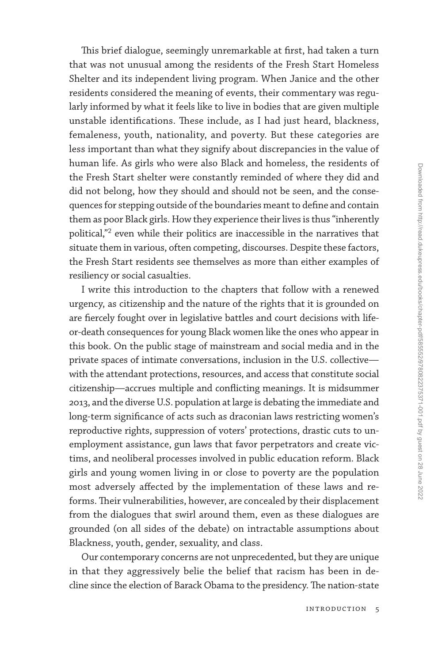This brief dialogue, seemingly unremarkable at first, had taken a turn that was not unusual among the residents of the Fresh Start Homeless Shelter and its independent living program. When Janice and the other residents considered the meaning of events, their commentary was regularly informed by what it feels like to live in bodies that are given multiple unstable identifications. These include, as I had just heard, blackness, femaleness, youth, nationality, and poverty. But these categories are less important than what they signify about discrepancies in the value of human life. As girls who were also Black and homeless, the residents of the Fresh Start shelter were constantly reminded of where they did and did not belong, how they should and should not be seen, and the consequences for stepping outside of the boundaries meant to define and contain them as poor Black girls. How they experience their lives is thus "inherently political,"[2](#page--1-0) even while their politics are inaccessible in the narratives that situate them in various, often competing, discourses. Despite these factors, the Fresh Start residents see themselves as more than either examples of resiliency or social casualties.

I write this introduction to the chapters that follow with a renewed urgency, as citizenship and the nature of the rights that it is grounded on are fiercely fought over in legislative battles and court decisions with lifeor-death consequences for young Black women like the ones who appear in this book. On the public stage of mainstream and social media and in the private spaces of intimate conversations, inclusion in the U.S. collective with the attendant protections, resources, and access that constitute social citizenship—accrues multiple and conflicting meanings. It is midsummer 2013, and the diverse U.S. population at large is debating the immediate and long-term significance of acts such as draconian laws restricting women's reproductive rights, suppression of voters' protections, drastic cuts to unemployment assistance, gun laws that favor perpetrators and create victims, and neoliberal processes involved in public education reform. Black girls and young women living in or close to poverty are the population most adversely affected by the implementation of these laws and reforms. Their vulnerabilities, however, are concealed by their displacement from the dialogues that swirl around them, even as these dialogues are grounded (on all sides of the debate) on intractable assumptions about Blackness, youth, gender, sexuality, and class.

Our contemporary concerns are not unprecedented, but they are unique in that they aggressively belie the belief that racism has been in decline since the election of Barack Obama to the presidency. The nation-state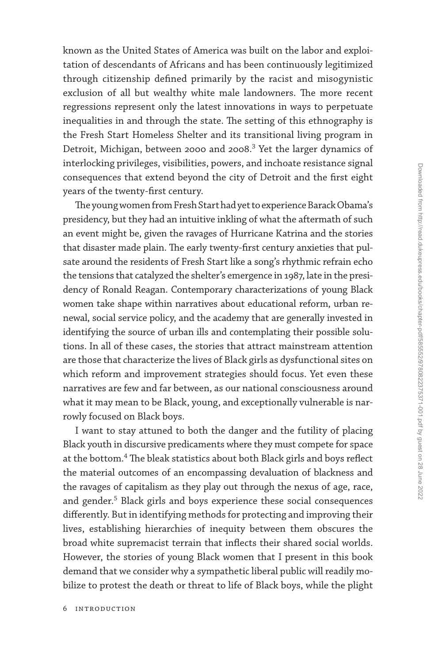known as the United States of America was built on the labor and exploitation of descendants of Africans and has been continuously legitimized through citizenship defined primarily by the racist and misogynistic exclusion of all but wealthy white male landowners. The more recent regressions represent only the latest innovations in ways to perpetuate inequalities in and through the state. The setting of this ethnography is the Fresh Start Homeless Shelter and its transitional living program in Detroit, Michigan, between 2000 and 2008.<sup>3</sup> Yet the larger dynamics of interlocking privileges, visibilities, powers, and inchoate resistance signal consequences that extend beyond the city of Detroit and the first eight years of the twenty-first century.

The young women from Fresh Start had yet to experience Barack Obama's presidency, but they had an intuitive inkling of what the aftermath of such an event might be, given the ravages of Hurricane Katrina and the stories that disaster made plain. The early twenty-first century anxieties that pulsate around the residents of Fresh Start like a song's rhythmic refrain echo the tensions that catalyzed the shelter's emergence in 1987, late in the presidency of Ronald Reagan. Contemporary characterizations of young Black women take shape within narratives about educational reform, urban renewal, social service policy, and the academy that are generally invested in identifying the source of urban ills and contemplating their possible solutions. In all of these cases, the stories that attract mainstream attention are those that characterize the lives of Black girls as dysfunctional sites on which reform and improvement strategies should focus. Yet even these narratives are few and far between, as our national consciousness around what it may mean to be Black, young, and exceptionally vulnerable is narrowly focused on Black boys.

I want to stay attuned to both the danger and the futility of placing Black youth in discursive predicaments where they must compete for space at the bottom.<sup>4</sup> The bleak statistics about both Black girls and boys reflect the material outcomes of an encompassing devaluation of blackness and the ravages of capitalism as they play out through the nexus of age, race, and gender.<sup>5</sup> Black girls and boys experience these social consequences differently. But in identifying methods for protecting and improving their lives, establishing hierarchies of inequity between them obscures the broad white supremacist terrain that inflects their shared social worlds. However, the stories of young Black women that I present in this book demand that we consider why a sympathetic liberal public will readily mobilize to protest the death or threat to life of Black boys, while the plight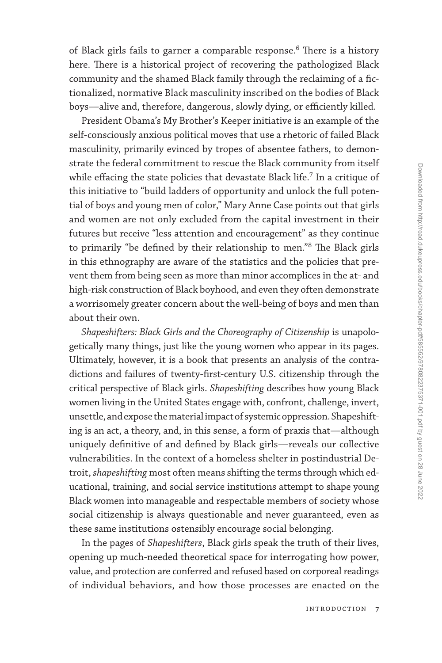of Black girls fails to garner a comparable response.<sup>6</sup> There is a history here. There is a historical project of recovering the pathologized Black community and the shamed Black family through the reclaiming of a fictionalized, normative Black masculinity inscribed on the bodies of Black boys—alive and, therefore, dangerous, slowly dying, or efficiently killed.

President Obama's My Brother's Keeper initiative is an example of the self-consciously anxious political moves that use a rhetoric of failed Black masculinity, primarily evinced by tropes of absentee fathers, to demonstrate the federal commitment to rescue the Black community from itself while effacing the state policies that devastate Black life.<sup>7</sup> In a critique of this initiative to "build ladders of opportunity and unlock the full potential of boys and young men of color," Mary Anne Case points out that girls and women are not only excluded from the capital investment in their futures but receive "less attention and encouragement" as they continue to primarily "be defined by their relationship to men.["8](#page--1-0) The Black girls in this ethnography are aware of the statistics and the policies that prevent them from being seen as more than minor accomplices in the at- and high-risk construction of Black boyhood, and even they often demonstrate a worrisomely greater concern about the well-being of boys and men than about their own.

*Shapeshifters: Black Girls and the Choreography of Citizenship* is unapologetically many things, just like the young women who appear in its pages. Ultimately, however, it is a book that presents an analysis of the contradictions and failures of twenty-first-century U.S. citizenship through the critical perspective of Black girls. *Shapeshifting* describes how young Black women living in the United States engage with, confront, challenge, invert, unsettle, and expose the material impact of systemic oppression. Shapeshifting is an act, a theory, and, in this sense, a form of praxis that—although uniquely definitive of and defined by Black girls—reveals our collective vulnerabilities. In the context of a homeless shelter in postindustrial Detroit, *shapeshifting* most often means shifting the terms through which educational, training, and social service institutions attempt to shape young Black women into manageable and respectable members of society whose social citizenship is always questionable and never guaranteed, even as these same institutions ostensibly encourage social belonging.

In the pages of *Shapeshifters*, Black girls speak the truth of their lives, opening up much-needed theoretical space for interrogating how power, value, and protection are conferred and refused based on corporeal readings of individual behaviors, and how those processes are enacted on the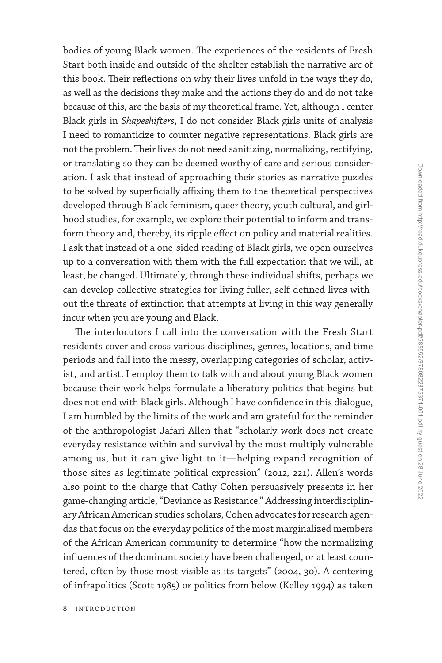bodies of young Black women. The experiences of the residents of Fresh Start both inside and outside of the shelter establish the narrative arc of this book. Their reflections on why their lives unfold in the ways they do, as well as the decisions they make and the actions they do and do not take because of this, are the basis of my theoretical frame. Yet, although I center Black girls in *Shapeshifters*, I do not consider Black girls units of analysis I need to romanticize to counter negative representations. Black girls are not the problem. Their lives do not need sanitizing, normalizing, rectifying, or translating so they can be deemed worthy of care and serious consideration. I ask that instead of approaching their stories as narrative puzzles to be solved by superficially affixing them to the theoretical perspectives developed through Black feminism, queer theory, youth cultural, and girlhood studies, for example, we explore their potential to inform and transform theory and, thereby, its ripple effect on policy and material realities. I ask that instead of a one-sided reading of Black girls, we open ourselves up to a conversation with them with the full expectation that we will, at least, be changed. Ultimately, through these individual shifts, perhaps we can develop collective strategies for living fuller, self-defined lives without the threats of extinction that attempts at living in this way generally incur when you are young and Black.

The interlocutors I call into the conversation with the Fresh Start residents cover and cross various disciplines, genres, locations, and time periods and fall into the messy, overlapping categories of scholar, activist, and artist. I employ them to talk with and about young Black women because their work helps formulate a liberatory politics that begins but does not end with Black girls. Although I have confidence in this dialogue, I am humbled by the limits of the work and am grateful for the reminder of the anthropologist Jafari Allen that "scholarly work does not create everyday resistance within and survival by the most multiply vulnerable among us, but it can give light to it—helping expand recognition of those sites as legitimate political expression" (2012, 221). Allen's words also point to the charge that Cathy Cohen persuasively presents in her game-changing article, "Deviance as Resistance." Addressing interdisciplinary African American studies scholars, Cohen advocates for research agendas that focus on the everyday politics of the most marginalized members of the African American community to determine "how the normalizing influences of the dominant society have been challenged, or at least countered, often by those most visible as its targets" (2004, 30). A centering of infrapolitics (Scott 1985) or politics from below (Kelley 1994) as taken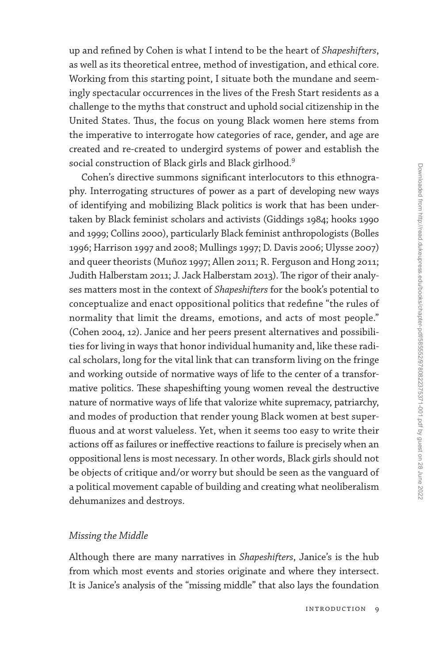as well as its theoretical entree, method of investigation, and ethical core. Working from this starting point, I situate both the mundane and seemingly spectacular occurrences in the lives of the Fresh Start residents as a challenge to the myths that construct and uphold social citizenship in the United States. Thus, the focus on young Black women here stems from the imperative to interrogate how categories of race, gender, and age are created and re-created to undergird systems of power and establish the social construction of Black girls and Black girlhood.<sup>[9](#page--1-0)</sup> Cohen's directive summons significant interlocutors to this ethnography. Interrogating structures of power as a part of developing new ways

of identifying and mobilizing Black politics is work that has been undertaken by Black feminist scholars and activists (Giddings 1984; hooks 1990 and 1999; Collins 2000), particularly Black feminist anthropologists (Bolles 1996; Harrison 1997 and 2008; Mullings 1997; D. Davis 2006; Ulysse 2007) and queer theorists (Muñoz 1997; Allen 2011; R. Ferguson and Hong 2011; Judith Halberstam 2011; J. Jack Halberstam 2013). The rigor of their analyses matters most in the context of *Shapeshifters* for the book's potential to conceptualize and enact oppositional politics that redefine "the rules of normality that limit the dreams, emotions, and acts of most people." (Cohen 2004, 12). Janice and her peers present alternatives and possibilities for living in ways that honor individual humanity and, like these radical scholars, long for the vital link that can transform living on the fringe and working outside of normative ways of life to the center of a transformative politics. These shapeshifting young women reveal the destructive nature of normative ways of life that valorize white supremacy, patriarchy, and modes of production that render young Black women at best superfluous and at worst valueless. Yet, when it seems too easy to write their actions off as failures or ineffective reactions to failure is precisely when an oppositional lens is most necessary. In other words, Black girls should not be objects of critique and/or worry but should be seen as the vanguard of a political movement capable of building and creating what neoliberalism dehumanizes and destroys.

up and refined by Cohen is what I intend to be the heart of *Shapeshifters*,

# *Missing the Middle*

Although there are many narratives in *Shapeshifters*, Janice's is the hub from which most events and stories originate and where they intersect. It is Janice's analysis of the "missing middle" that also lays the foundation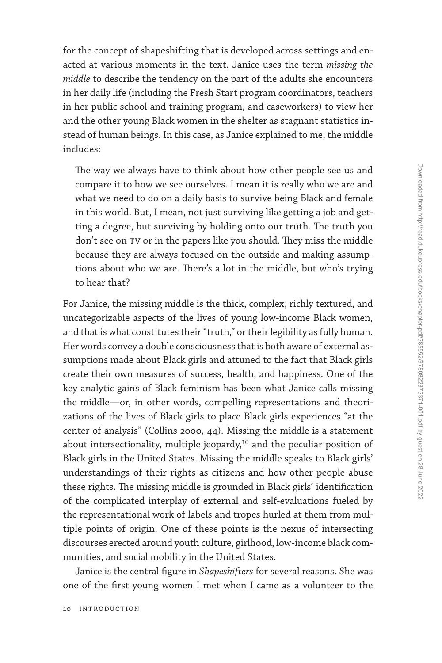for the concept of shapeshifting that is developed across settings and enacted at various moments in the text. Janice uses the term *missing the middle* to describe the tendency on the part of the adults she encounters in her daily life (including the Fresh Start program coordinators, teachers in her public school and training program, and caseworkers) to view her and the other young Black women in the shelter as stagnant statistics instead of human beings. In this case, as Janice explained to me, the middle includes:

The way we always have to think about how other people see us and compare it to how we see ourselves. I mean it is really who we are and what we need to do on a daily basis to survive being Black and female in this world. But, I mean, not just surviving like getting a job and getting a degree, but surviving by holding onto our truth. The truth you don't see on tv or in the papers like you should. They miss the middle because they are always focused on the outside and making assumptions about who we are. There's a lot in the middle, but who's trying to hear that?

For Janice, the missing middle is the thick, complex, richly textured, and uncategorizable aspects of the lives of young low-income Black women, and that is what constitutes their "truth," or their legibility as fully human. Her words convey a double consciousness that is both aware of external assumptions made about Black girls and attuned to the fact that Black girls create their own measures of success, health, and happiness. One of the key analytic gains of Black feminism has been what Janice calls missing the middle—or, in other words, compelling representations and theorizations of the lives of Black girls to place Black girls experiences "at the center of analysis" (Collins 2000, 44). Missing the middle is a statement about intersectionality, multiple jeopardy, $10$  and the peculiar position of Black girls in the United States. Missing the middle speaks to Black girls' understandings of their rights as citizens and how other people abuse these rights. The missing middle is grounded in Black girls' identification of the complicated interplay of external and self-evaluations fueled by the representational work of labels and tropes hurled at them from multiple points of origin. One of these points is the nexus of intersecting discourses erected around youth culture, girlhood, low-income black communities, and social mobility in the United States.

Janice is the central figure in *Shapeshifters* for several reasons. She was one of the first young women I met when I came as a volunteer to the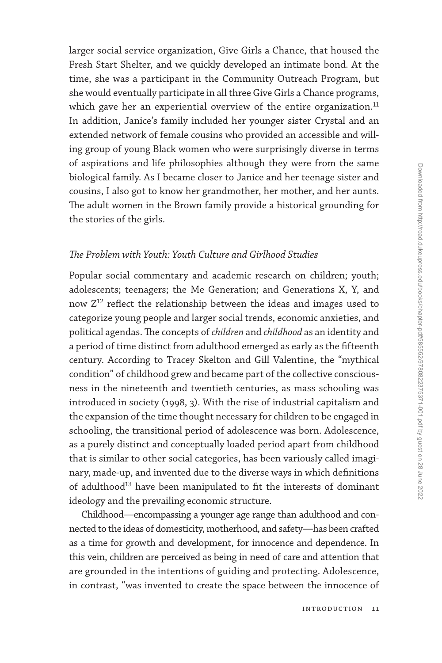larger social service organization, Give Girls a Chance, that housed the Fresh Start Shelter, and we quickly developed an intimate bond. At the time, she was a participant in the Community Outreach Program, but she would eventually participate in all three Give Girls a Chance programs, which gave her an experiential overview of the entire organization.<sup>[11](#page--1-0)</sup> In addition, Janice's family included her younger sister Crystal and an extended network of female cousins who provided an accessible and willing group of young Black women who were surprisingly diverse in terms of aspirations and life philosophies although they were from the same biological family. As I became closer to Janice and her teenage sister and cousins, I also got to know her grandmother, her mother, and her aunts. The adult women in the Brown family provide a historical grounding for the stories of the girls.

# *The Problem with Youth: Youth Culture and Girlhood Studies*

Popular social commentary and academic research on children; youth; adolescents; teenagers; the Me Generation; and Generations X, Y, and now  $Z^{12}$  $Z^{12}$  $Z^{12}$  reflect the relationship between the ideas and images used to categorize young people and larger social trends, economic anxieties, and political agendas. The concepts of *children* and *childhood* as an identity and a period of time distinct from adulthood emerged as early as the fifteenth century. According to Tracey Skelton and Gill Valentine, the "mythical condition" of childhood grew and became part of the collective consciousness in the nineteenth and twentieth centuries, as mass schooling was introduced in society (1998, 3). With the rise of industrial capitalism and the expansion of the time thought necessary for children to be engaged in schooling, the transitional period of adolescence was born. Adolescence, as a purely distinct and conceptually loaded period apart from childhood that is similar to other social categories, has been variously called imaginary, made-up, and invented due to the diverse ways in which definitions of adulthood $13$  have been manipulated to fit the interests of dominant ideology and the prevailing economic structure.

Childhood—encompassing a younger age range than adulthood and connected to the ideas of domesticity, motherhood, and safety—has been crafted as a time for growth and development, for innocence and dependence. In this vein, children are perceived as being in need of care and attention that are grounded in the intentions of guiding and protecting. Adolescence, in contrast, "was invented to create the space between the innocence of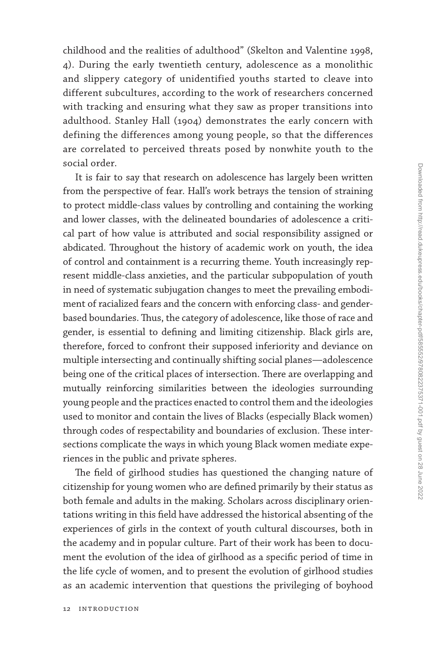childhood and the realities of adulthood" (Skelton and Valentine 1998, 4). During the early twentieth century, adolescence as a monolithic and slippery category of unidentified youths started to cleave into different subcultures, according to the work of researchers concerned with tracking and ensuring what they saw as proper transitions into adulthood. Stanley Hall (1904) demonstrates the early concern with defining the differences among young people, so that the differences are correlated to perceived threats posed by nonwhite youth to the social order.

It is fair to say that research on adolescence has largely been written from the perspective of fear. Hall's work betrays the tension of straining to protect middle-class values by controlling and containing the working and lower classes, with the delineated boundaries of adolescence a critical part of how value is attributed and social responsibility assigned or abdicated. Throughout the history of academic work on youth, the idea of control and containment is a recurring theme. Youth increasingly represent middle-class anxieties, and the particular subpopulation of youth in need of systematic subjugation changes to meet the prevailing embodiment of racialized fears and the concern with enforcing class- and genderbased boundaries. Thus, the category of adolescence, like those of race and gender, is essential to defining and limiting citizenship. Black girls are, therefore, forced to confront their supposed inferiority and deviance on multiple intersecting and continually shifting social planes—adolescence being one of the critical places of intersection. There are overlapping and mutually reinforcing similarities between the ideologies surrounding young people and the practices enacted to control them and the ideologies used to monitor and contain the lives of Blacks (especially Black women) through codes of respectability and boundaries of exclusion. These intersections complicate the ways in which young Black women mediate experiences in the public and private spheres.

The field of girlhood studies has questioned the changing nature of citizenship for young women who are defined primarily by their status as both female and adults in the making. Scholars across disciplinary orientations writing in this field have addressed the historical absenting of the experiences of girls in the context of youth cultural discourses, both in the academy and in popular culture. Part of their work has been to document the evolution of the idea of girlhood as a specific period of time in the life cycle of women, and to present the evolution of girlhood studies as an academic intervention that questions the privileging of boyhood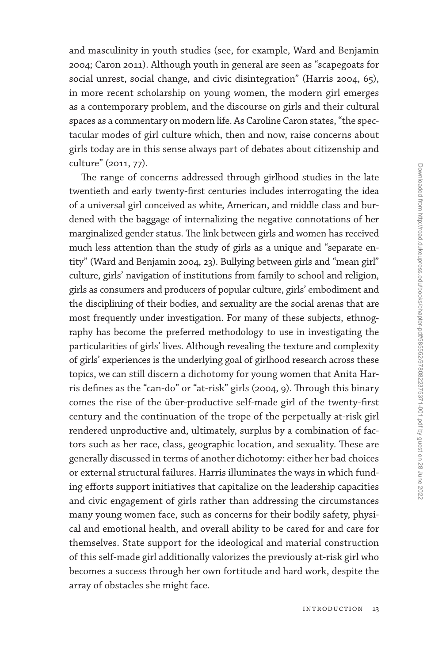and masculinity in youth studies (see, for example, Ward and Benjamin 2004; Caron 2011). Although youth in general are seen as "scapegoats for social unrest, social change, and civic disintegration" (Harris 2004, 65), in more recent scholarship on young women, the modern girl emerges as a contemporary problem, and the discourse on girls and their cultural spaces as a commentary on modern life. As Caroline Caron states, "the spectacular modes of girl culture which, then and now, raise concerns about girls today are in this sense always part of debates about citizenship and culture" (2011, 77).

The range of concerns addressed through girlhood studies in the late twentieth and early twenty-first centuries includes interrogating the idea of a universal girl conceived as white, American, and middle class and burdened with the baggage of internalizing the negative connotations of her marginalized gender status. The link between girls and women has received much less attention than the study of girls as a unique and "separate entity" (Ward and Benjamin 2004, 23). Bullying between girls and "mean girl" culture, girls' navigation of institutions from family to school and religion, girls as consumers and producers of popular culture, girls' embodiment and the disciplining of their bodies, and sexuality are the social arenas that are most frequently under investigation. For many of these subjects, ethnography has become the preferred methodology to use in investigating the particularities of girls' lives. Although revealing the texture and complexity of girls' experiences is the underlying goal of girlhood research across these topics, we can still discern a dichotomy for young women that Anita Harris defines as the "can-do" or "at-risk" girls (2004, 9). Through this binary comes the rise of the über-productive self-made girl of the twenty-first century and the continuation of the trope of the perpetually at-risk girl rendered unproductive and, ultimately, surplus by a combination of factors such as her race, class, geographic location, and sexuality. These are generally discussed in terms of another dichotomy: either her bad choices or external structural failures. Harris illuminates the ways in which funding efforts support initiatives that capitalize on the leadership capacities and civic engagement of girls rather than addressing the circumstances many young women face, such as concerns for their bodily safety, physical and emotional health, and overall ability to be cared for and care for themselves. State support for the ideological and material construction of this self-made girl additionally valorizes the previously at-risk girl who becomes a success through her own fortitude and hard work, despite the array of obstacles she might face.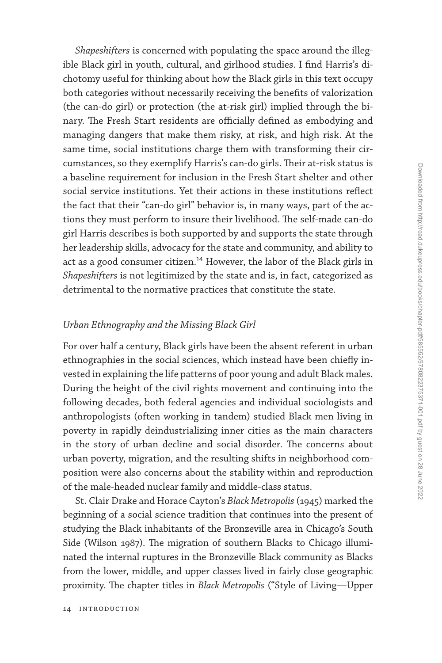*Shapeshifters* is concerned with populating the space around the illegible Black girl in youth, cultural, and girlhood studies. I find Harris's dichotomy useful for thinking about how the Black girls in this text occupy both categories without necessarily receiving the benefits of valorization (the can-do girl) or protection (the at-risk girl) implied through the binary. The Fresh Start residents are officially defined as embodying and managing dangers that make them risky, at risk, and high risk. At the same time, social institutions charge them with transforming their circumstances, so they exemplify Harris's can-do girls. Their at-risk status is a baseline requirement for inclusion in the Fresh Start shelter and other social service institutions. Yet their actions in these institutions reflect the fact that their "can-do girl" behavior is, in many ways, part of the actions they must perform to insure their livelihood. The self-made can-do girl Harris describes is both supported by and supports the state through her leadership skills, advocacy for the state and community, and ability to act as a good consumer citizen. $14$  However, the labor of the Black girls in *Shapeshifters* is not legitimized by the state and is, in fact, categorized as detrimental to the normative practices that constitute the state.

#### *Urban Ethnography and the Missing Black Girl*

For over half a century, Black girls have been the absent referent in urban ethnographies in the social sciences, which instead have been chiefly invested in explaining the life patterns of poor young and adult Black males. During the height of the civil rights movement and continuing into the following decades, both federal agencies and individual sociologists and anthropologists (often working in tandem) studied Black men living in poverty in rapidly deindustrializing inner cities as the main characters in the story of urban decline and social disorder. The concerns about urban poverty, migration, and the resulting shifts in neighborhood composition were also concerns about the stability within and reproduction of the male-headed nuclear family and middle-class status.

St. Clair Drake and Horace Cayton's *Black Metropolis* (1945) marked the beginning of a social science tradition that continues into the present of studying the Black inhabitants of the Bronzeville area in Chicago's South Side (Wilson 1987). The migration of southern Blacks to Chicago illuminated the internal ruptures in the Bronzeville Black community as Blacks from the lower, middle, and upper classes lived in fairly close geographic proximity. The chapter titles in *Black Metropolis* ("Style of Living—Upper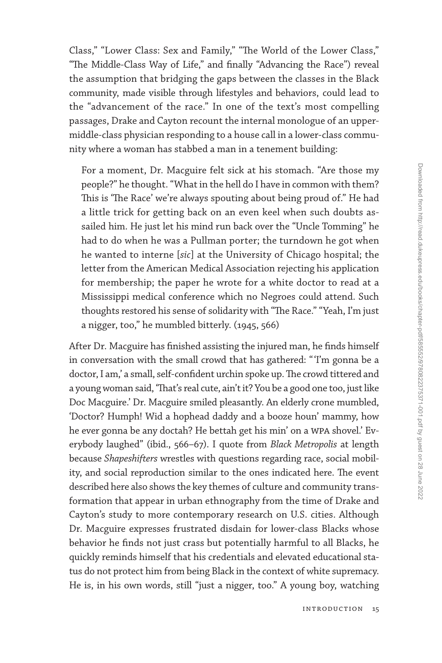Class," "Lower Class: Sex and Family," "The World of the Lower Class," "The Middle-Class Way of Life," and finally "Advancing the Race") reveal the assumption that bridging the gaps between the classes in the Black community, made visible through lifestyles and behaviors, could lead to the "advancement of the race." In one of the text's most compelling passages, Drake and Cayton recount the internal monologue of an uppermiddle-class physician responding to a house call in a lower-class community where a woman has stabbed a man in a tenement building:

For a moment, Dr. Macguire felt sick at his stomach. "Are those my people?" he thought. "What in the hell do I have in common with them? This is 'The Race' we're always spouting about being proud of." He had a little trick for getting back on an even keel when such doubts assailed him. He just let his mind run back over the "Uncle Tomming" he had to do when he was a Pullman porter; the turndown he got when he wanted to interne [*sic*] at the University of Chicago hospital; the letter from the American Medical Association rejecting his application for membership; the paper he wrote for a white doctor to read at a Mississippi medical conference which no Negroes could attend. Such thoughts restored his sense of solidarity with "The Race." "Yeah, I'm just a nigger, too," he mumbled bitterly. (1945, 566)

After Dr. Macguire has finished assisting the injured man, he finds himself in conversation with the small crowd that has gathered: "'I'm gonna be a doctor, I am,' a small, self-confident urchin spoke up. The crowd tittered and a young woman said, 'That's real cute, ain't it? You be a good one too, just like Doc Macguire.' Dr. Macguire smiled pleasantly. An elderly crone mumbled, 'Doctor? Humph! Wid a hophead daddy and a booze houn' mammy, how he ever gonna be any doctah? He bettah get his min' on a wpa shovel.' Everybody laughed" (ibid., 566–67). I quote from *Black Metropolis* at length because *Shapeshifters* wrestles with questions regarding race, social mobility, and social reproduction similar to the ones indicated here. The event described here also shows the key themes of culture and community transformation that appear in urban ethnography from the time of Drake and Cayton's study to more contemporary research on U.S. cities. Although Dr. Macguire expresses frustrated disdain for lower-class Blacks whose behavior he finds not just crass but potentially harmful to all Blacks, he quickly reminds himself that his credentials and elevated educational status do not protect him from being Black in the context of white supremacy. He is, in his own words, still "just a nigger, too." A young boy, watching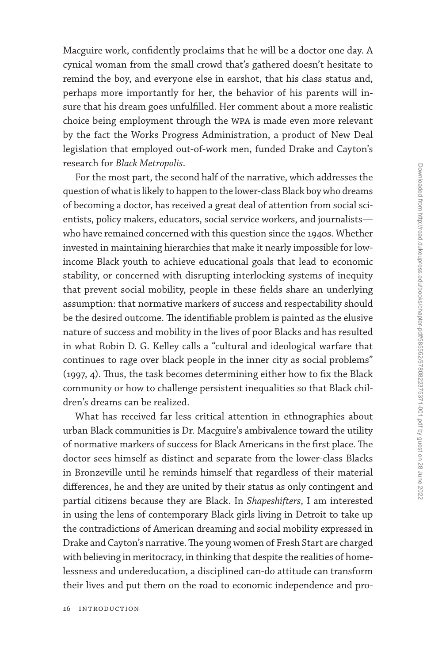Macguire work, confidently proclaims that he will be a doctor one day. A cynical woman from the small crowd that's gathered doesn't hesitate to remind the boy, and everyone else in earshot, that his class status and, perhaps more importantly for her, the behavior of his parents will insure that his dream goes unfulfilled. Her comment about a more realistic choice being employment through the wpa is made even more relevant by the fact the Works Progress Administration, a product of New Deal legislation that employed out-of-work men, funded Drake and Cayton's research for *Black Metropolis*.

For the most part, the second half of the narrative, which addresses the question of what is likely to happen to the lower-class Black boy who dreams of becoming a doctor, has received a great deal of attention from social scientists, policy makers, educators, social service workers, and journalists who have remained concerned with this question since the 1940s. Whether invested in maintaining hierarchies that make it nearly impossible for lowincome Black youth to achieve educational goals that lead to economic stability, or concerned with disrupting interlocking systems of inequity that prevent social mobility, people in these fields share an underlying assumption: that normative markers of success and respectability should be the desired outcome. The identifiable problem is painted as the elusive nature of success and mobility in the lives of poor Blacks and has resulted in what Robin D. G. Kelley calls a "cultural and ideological warfare that continues to rage over black people in the inner city as social problems" (1997, 4). Thus, the task becomes determining either how to fix the Black community or how to challenge persistent inequalities so that Black children's dreams can be realized.

What has received far less critical attention in ethnographies about urban Black communities is Dr. Macguire's ambivalence toward the utility of normative markers of success for Black Americans in the first place. The doctor sees himself as distinct and separate from the lower-class Blacks in Bronzeville until he reminds himself that regardless of their material differences, he and they are united by their status as only contingent and partial citizens because they are Black. In *Shapeshifters*, I am interested in using the lens of contemporary Black girls living in Detroit to take up the contradictions of American dreaming and social mobility expressed in Drake and Cayton's narrative. The young women of Fresh Start are charged with believing in meritocracy, in thinking that despite the realities of homelessness and undereducation, a disciplined can-do attitude can transform their lives and put them on the road to economic independence and pro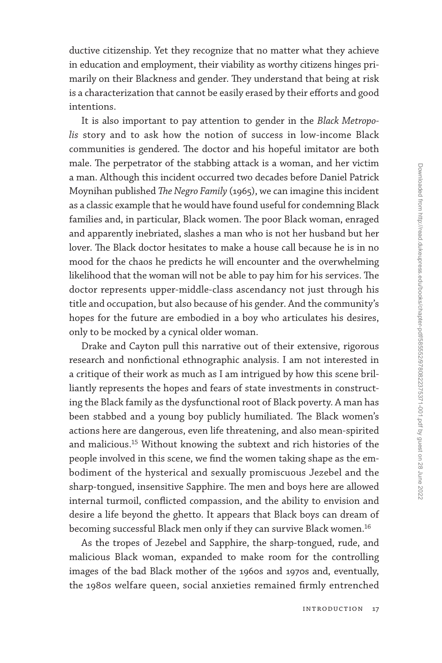ductive citizenship. Yet they recognize that no matter what they achieve in education and employment, their viability as worthy citizens hinges primarily on their Blackness and gender. They understand that being at risk is a characterization that cannot be easily erased by their efforts and good intentions.

It is also important to pay attention to gender in the *Black Metropolis* story and to ask how the notion of success in low-income Black communities is gendered. The doctor and his hopeful imitator are both male. The perpetrator of the stabbing attack is a woman, and her victim a man. Although this incident occurred two decades before Daniel Patrick Moynihan published *The Negro Family* (1965), we can imagine this incident as a classic example that he would have found useful for condemning Black families and, in particular, Black women. The poor Black woman, enraged and apparently inebriated, slashes a man who is not her husband but her lover. The Black doctor hesitates to make a house call because he is in no mood for the chaos he predicts he will encounter and the overwhelming likelihood that the woman will not be able to pay him for his services. The doctor represents upper-middle-class ascendancy not just through his title and occupation, but also because of his gender. And the community's hopes for the future are embodied in a boy who articulates his desires, only to be mocked by a cynical older woman.

Drake and Cayton pull this narrative out of their extensive, rigorous research and nonfictional ethnographic analysis. I am not interested in a critique of their work as much as I am intrigued by how this scene brilliantly represents the hopes and fears of state investments in constructing the Black family as the dysfunctional root of Black poverty. A man has been stabbed and a young boy publicly humiliated. The Black women's actions here are dangerous, even life threatening, and also mean-spirited and malicious.[15](#page--1-0) Without knowing the subtext and rich histories of the people involved in this scene, we find the women taking shape as the embodiment of the hysterical and sexually promiscuous Jezebel and the sharp-tongued, insensitive Sapphire. The men and boys here are allowed internal turmoil, conflicted compassion, and the ability to envision and desire a life beyond the ghetto. It appears that Black boys can dream of becoming successful Black men only if they can survive Black women.<sup>16</sup>

As the tropes of Jezebel and Sapphire, the sharp-tongued, rude, and malicious Black woman, expanded to make room for the controlling images of the bad Black mother of the 1960s and 1970s and, eventually, the 1980s welfare queen, social anxieties remained firmly entrenched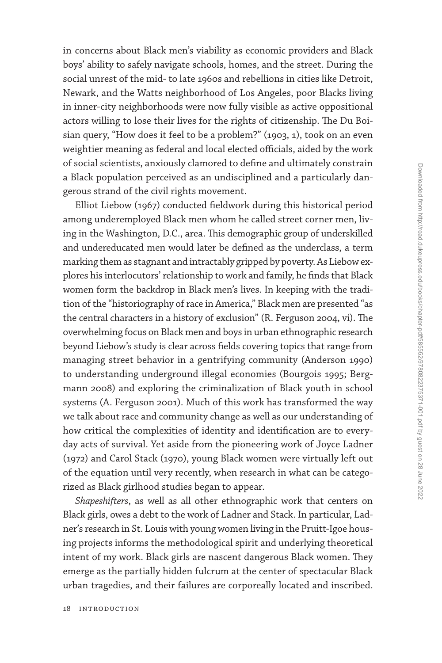in concerns about Black men's viability as economic providers and Black boys' ability to safely navigate schools, homes, and the street. During the social unrest of the mid- to late 1960s and rebellions in cities like Detroit, Newark, and the Watts neighborhood of Los Angeles, poor Blacks living in inner-city neighborhoods were now fully visible as active oppositional actors willing to lose their lives for the rights of citizenship. The Du Boisian query, "How does it feel to be a problem?" (1903, 1), took on an even weightier meaning as federal and local elected officials, aided by the work of social scientists, anxiously clamored to define and ultimately constrain a Black population perceived as an undisciplined and a particularly dangerous strand of the civil rights movement.

Elliot Liebow (1967) conducted fieldwork during this historical period among underemployed Black men whom he called street corner men, living in the Washington, D.C., area. This demographic group of underskilled and undereducated men would later be defined as the underclass, a term marking them as stagnant and intractably gripped by poverty. As Liebow explores his interlocutors' relationship to work and family, he finds that Black women form the backdrop in Black men's lives. In keeping with the tradition of the "historiography of race in America," Black men are presented "as the central characters in a history of exclusion" (R. Ferguson 2004, vi). The overwhelming focus on Black men and boys in urban ethnographic research beyond Liebow's study is clear across fields covering topics that range from managing street behavior in a gentrifying community (Anderson 1990) to understanding underground illegal economies (Bourgois 1995; Bergmann 2008) and exploring the criminalization of Black youth in school systems (A. Ferguson 2001). Much of this work has transformed the way we talk about race and community change as well as our understanding of how critical the complexities of identity and identification are to everyday acts of survival. Yet aside from the pioneering work of Joyce Ladner (1972) and Carol Stack (1970), young Black women were virtually left out of the equation until very recently, when research in what can be categorized as Black girlhood studies began to appear.

*Shapeshifters*, as well as all other ethnographic work that centers on Black girls, owes a debt to the work of Ladner and Stack. In particular, Ladner's research in St. Louis with young women living in the Pruitt-Igoe housing projects informs the methodological spirit and underlying theoretical intent of my work. Black girls are nascent dangerous Black women. They emerge as the partially hidden fulcrum at the center of spectacular Black urban tragedies, and their failures are corporeally located and inscribed.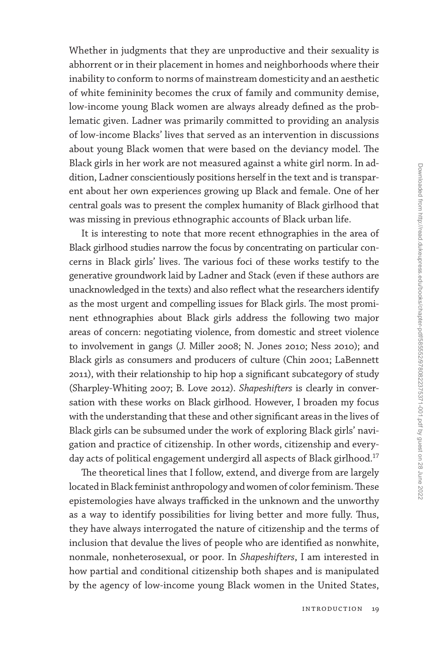Whether in judgments that they are unproductive and their sexuality is abhorrent or in their placement in homes and neighborhoods where their inability to conform to norms of mainstream domesticity and an aesthetic of white femininity becomes the crux of family and community demise, low-income young Black women are always already defined as the problematic given. Ladner was primarily committed to providing an analysis of low-income Blacks' lives that served as an intervention in discussions about young Black women that were based on the deviancy model. The Black girls in her work are not measured against a white girl norm. In addition, Ladner conscientiously positions herself in the text and is transparent about her own experiences growing up Black and female. One of her central goals was to present the complex humanity of Black girlhood that was missing in previous ethnographic accounts of Black urban life.

It is interesting to note that more recent ethnographies in the area of Black girlhood studies narrow the focus by concentrating on particular concerns in Black girls' lives. The various foci of these works testify to the generative groundwork laid by Ladner and Stack (even if these authors are unacknowledged in the texts) and also reflect what the researchers identify as the most urgent and compelling issues for Black girls. The most prominent ethnographies about Black girls address the following two major areas of concern: negotiating violence, from domestic and street violence to involvement in gangs (J. Miller 2008; N. Jones 2010; Ness 2010); and Black girls as consumers and producers of culture (Chin 2001; LaBennett 2011), with their relationship to hip hop a significant subcategory of study (Sharpley-Whiting 2007; B. Love 2012). *Shapeshifters* is clearly in conversation with these works on Black girlhood. However, I broaden my focus with the understanding that these and other significant areas in the lives of Black girls can be subsumed under the work of exploring Black girls' navigation and practice of citizenship. In other words, citizenship and everyday acts of political engagement undergird all aspects of Black girlhood.<sup>17</sup>

The theoretical lines that I follow, extend, and diverge from are largely located in Black feminist anthropology and women of color feminism. These epistemologies have always trafficked in the unknown and the unworthy as a way to identify possibilities for living better and more fully. Thus, they have always interrogated the nature of citizenship and the terms of inclusion that devalue the lives of people who are identified as nonwhite, nonmale, nonheterosexual, or poor. In *Shapeshifters*, I am interested in how partial and conditional citizenship both shapes and is manipulated by the agency of low-income young Black women in the United States,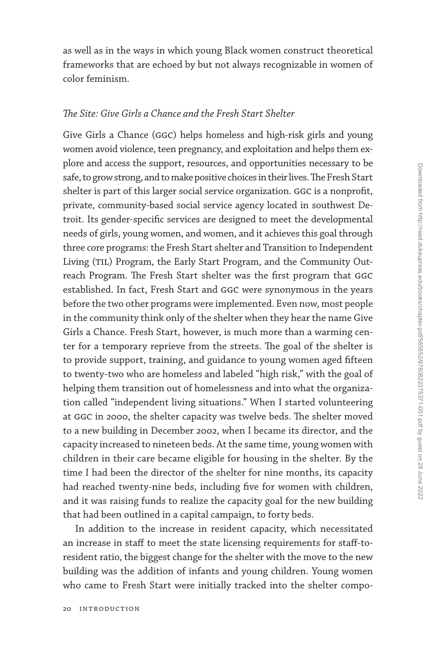as well as in the ways in which young Black women construct theoretical frameworks that are echoed by but not always recognizable in women of color feminism.

#### *The Site: Give Girls a Chance and the Fresh Start Shelter*

Give Girls a Chance (ggc) helps homeless and high-risk girls and young women avoid violence, teen pregnancy, and exploitation and helps them explore and access the support, resources, and opportunities necessary to be safe, to grow strong, and to make positive choices in their lives. The Fresh Start shelter is part of this larger social service organization. GGC is a nonprofit, private, community-based social service agency located in southwest Detroit. Its gender-specific services are designed to meet the developmental needs of girls, young women, and women, and it achieves this goal through three core programs: the Fresh Start shelter and Transition to Independent Living (TIL) Program, the Early Start Program, and the Community Outreach Program. The Fresh Start shelter was the first program that ggc established. In fact, Fresh Start and ggc were synonymous in the years before the two other programs were implemented. Even now, most people in the community think only of the shelter when they hear the name Give Girls a Chance. Fresh Start, however, is much more than a warming center for a temporary reprieve from the streets. The goal of the shelter is to provide support, training, and guidance to young women aged fifteen to twenty-two who are homeless and labeled "high risk," with the goal of helping them transition out of homelessness and into what the organization called "independent living situations." When I started volunteering at ggc in 2000, the shelter capacity was twelve beds. The shelter moved to a new building in December 2002, when I became its director, and the capacity increased to nineteen beds. At the same time, young women with children in their care became eligible for housing in the shelter. By the time I had been the director of the shelter for nine months, its capacity had reached twenty-nine beds, including five for women with children, and it was raising funds to realize the capacity goal for the new building that had been outlined in a capital campaign, to forty beds.

In addition to the increase in resident capacity, which necessitated an increase in staff to meet the state licensing requirements for staff-toresident ratio, the biggest change for the shelter with the move to the new building was the addition of infants and young children. Young women who came to Fresh Start were initially tracked into the shelter compo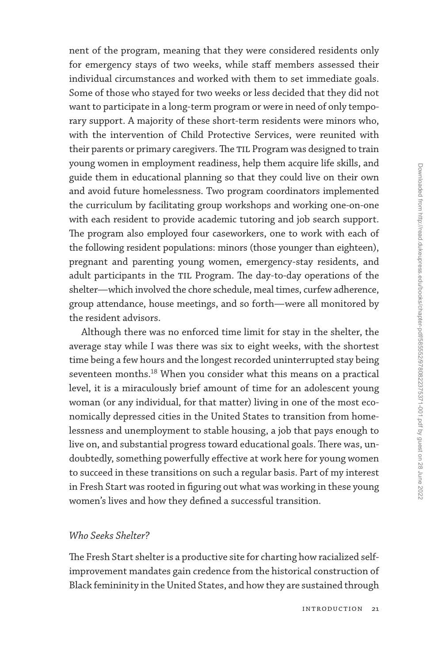nent of the program, meaning that they were considered residents only for emergency stays of two weeks, while staff members assessed their individual circumstances and worked with them to set immediate goals. Some of those who stayed for two weeks or less decided that they did not want to participate in a long-term program or were in need of only temporary support. A majority of these short-term residents were minors who, with the intervention of Child Protective Services, were reunited with their parents or primary caregivers. The TIL Program was designed to train young women in employment readiness, help them acquire life skills, and guide them in educational planning so that they could live on their own and avoid future homelessness. Two program coordinators implemented the curriculum by facilitating group workshops and working one-on-one with each resident to provide academic tutoring and job search support. The program also employed four caseworkers, one to work with each of the following resident populations: minors (those younger than eighteen), pregnant and parenting young women, emergency-stay residents, and adult participants in the TIL Program. The day-to-day operations of the shelter—which involved the chore schedule, meal times, curfew adherence, group attendance, house meetings, and so forth—were all monitored by the resident advisors.

Although there was no enforced time limit for stay in the shelter, the average stay while I was there was six to eight weeks, with the shortest time being a few hours and the longest recorded uninterrupted stay being seventeen months.<sup>18</sup> When you consider what this means on a practical level, it is a miraculously brief amount of time for an adolescent young woman (or any individual, for that matter) living in one of the most economically depressed cities in the United States to transition from homelessness and unemployment to stable housing, a job that pays enough to live on, and substantial progress toward educational goals. There was, undoubtedly, something powerfully effective at work here for young women to succeed in these transitions on such a regular basis. Part of my interest in Fresh Start was rooted in figuring out what was working in these young women's lives and how they defined a successful transition.

# *Who Seeks Shelter?*

The Fresh Start shelter is a productive site for charting how racialized selfimprovement mandates gain credence from the historical construction of Black femininity in the United States, and how they are sustained through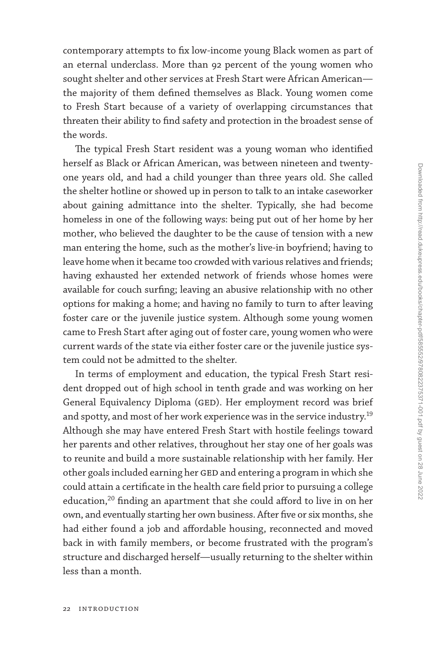contemporary attempts to fix low-income young Black women as part of an eternal underclass. More than 92 percent of the young women who sought shelter and other services at Fresh Start were African American the majority of them defined themselves as Black. Young women come to Fresh Start because of a variety of overlapping circumstances that threaten their ability to find safety and protection in the broadest sense of the words.

The typical Fresh Start resident was a young woman who identified herself as Black or African American, was between nineteen and twentyone years old, and had a child younger than three years old. She called the shelter hotline or showed up in person to talk to an intake caseworker about gaining admittance into the shelter. Typically, she had become homeless in one of the following ways: being put out of her home by her mother, who believed the daughter to be the cause of tension with a new man entering the home, such as the mother's live-in boyfriend; having to leave home when it became too crowded with various relatives and friends; having exhausted her extended network of friends whose homes were available for couch surfing; leaving an abusive relationship with no other options for making a home; and having no family to turn to after leaving foster care or the juvenile justice system. Although some young women came to Fresh Start after aging out of foster care, young women who were current wards of the state via either foster care or the juvenile justice system could not be admitted to the shelter.

In terms of employment and education, the typical Fresh Start resident dropped out of high school in tenth grade and was working on her General Equivalency Diploma (GED). Her employment record was brief and spotty, and most of her work experience was in the service industry. $^{19}$ Although she may have entered Fresh Start with hostile feelings toward her parents and other relatives, throughout her stay one of her goals was to reunite and build a more sustainable relationship with her family. Her other goals included earning her GED and entering a program in which she could attain a certificate in the health care field prior to pursuing a college education,<sup>20</sup> finding an apartment that she could afford to live in on her own, and eventually starting her own business. After five or six months, she had either found a job and affordable housing, reconnected and moved back in with family members, or become frustrated with the program's structure and discharged herself—usually returning to the shelter within less than a month.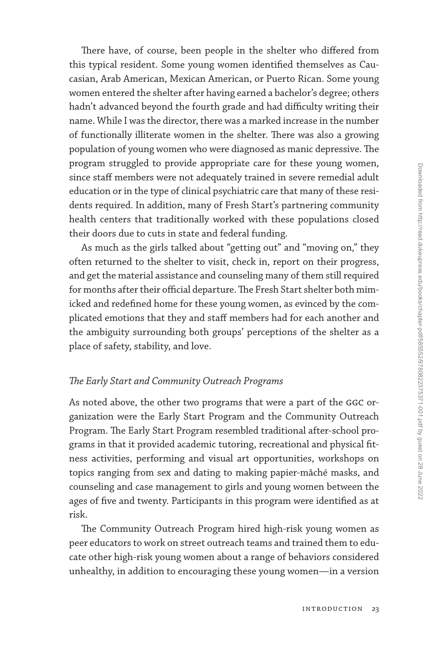There have, of course, been people in the shelter who differed from this typical resident. Some young women identified themselves as Caucasian, Arab American, Mexican American, or Puerto Rican. Some young women entered the shelter after having earned a bachelor's degree; others hadn't advanced beyond the fourth grade and had difficulty writing their name. While I was the director, there was a marked increase in the number of functionally illiterate women in the shelter. There was also a growing population of young women who were diagnosed as manic depressive. The program struggled to provide appropriate care for these young women, since staff members were not adequately trained in severe remedial adult education or in the type of clinical psychiatric care that many of these residents required. In addition, many of Fresh Start's partnering community health centers that traditionally worked with these populations closed their doors due to cuts in state and federal funding.

As much as the girls talked about "getting out" and "moving on," they often returned to the shelter to visit, check in, report on their progress, and get the material assistance and counseling many of them still required for months after their official departure. The Fresh Start shelter both mimicked and redefined home for these young women, as evinced by the complicated emotions that they and staff members had for each another and the ambiguity surrounding both groups' perceptions of the shelter as a place of safety, stability, and love.

# *The Early Start and Community Outreach Programs*

As noted above, the other two programs that were a part of the GGC organization were the Early Start Program and the Community Outreach Program. The Early Start Program resembled traditional after-school programs in that it provided academic tutoring, recreational and physical fitness activities, performing and visual art opportunities, workshops on topics ranging from sex and dating to making papier-mâché masks, and counseling and case management to girls and young women between the ages of five and twenty. Participants in this program were identified as at risk.

The Community Outreach Program hired high-risk young women as peer educators to work on street outreach teams and trained them to educate other high-risk young women about a range of behaviors considered unhealthy, in addition to encouraging these young women—in a version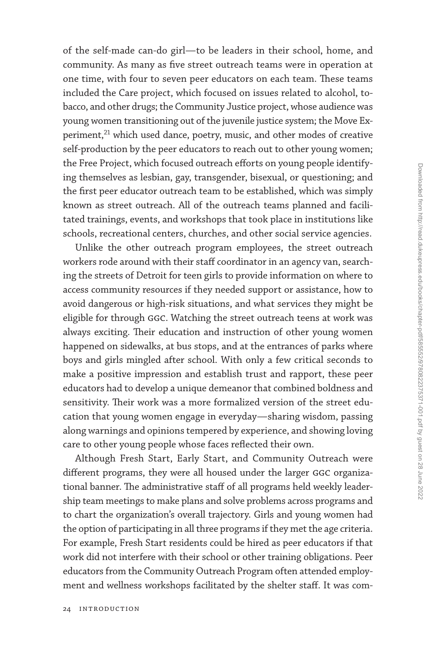of the self-made can-do girl—to be leaders in their school, home, and community. As many as five street outreach teams were in operation at one time, with four to seven peer educators on each team. These teams included the Care project, which focused on issues related to alcohol, tobacco, and other drugs; the Community Justice project, whose audience was young women transitioning out of the juvenile justice system; the Move Experiment,<sup>21</sup> which used dance, poetry, music, and other modes of creative self-production by the peer educators to reach out to other young women; the Free Project, which focused outreach efforts on young people identifying themselves as lesbian, gay, transgender, bisexual, or questioning; and the first peer educator outreach team to be established, which was simply known as street outreach. All of the outreach teams planned and facilitated trainings, events, and workshops that took place in institutions like schools, recreational centers, churches, and other social service agencies.

Unlike the other outreach program employees, the street outreach workers rode around with their staff coordinator in an agency van, searching the streets of Detroit for teen girls to provide information on where to access community resources if they needed support or assistance, how to avoid dangerous or high-risk situations, and what services they might be eligible for through ggc. Watching the street outreach teens at work was always exciting. Their education and instruction of other young women happened on sidewalks, at bus stops, and at the entrances of parks where boys and girls mingled after school. With only a few critical seconds to make a positive impression and establish trust and rapport, these peer educators had to develop a unique demeanor that combined boldness and sensitivity. Their work was a more formalized version of the street education that young women engage in everyday—sharing wisdom, passing along warnings and opinions tempered by experience, and showing loving care to other young people whose faces reflected their own.

Although Fresh Start, Early Start, and Community Outreach were different programs, they were all housed under the larger GGC organizational banner. The administrative staff of all programs held weekly leadership team meetings to make plans and solve problems across programs and to chart the organization's overall trajectory. Girls and young women had the option of participating in all three programs if they met the age criteria. For example, Fresh Start residents could be hired as peer educators if that work did not interfere with their school or other training obligations. Peer educators from the Community Outreach Program often attended employment and wellness workshops facilitated by the shelter staff. It was com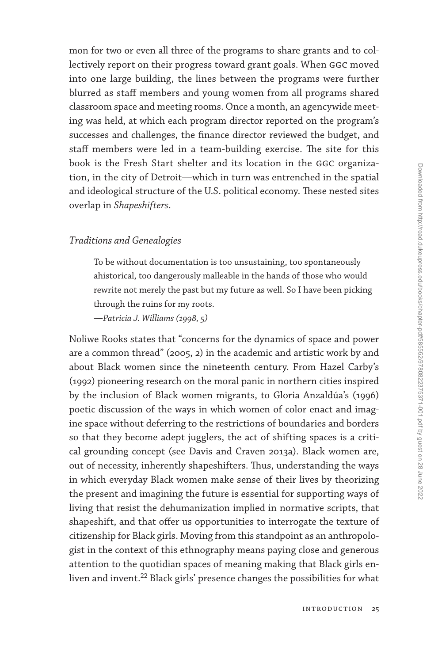mon for two or even all three of the programs to share grants and to collectively report on their progress toward grant goals. When ggc moved into one large building, the lines between the programs were further blurred as staff members and young women from all programs shared classroom space and meeting rooms. Once a month, an agencywide meeting was held, at which each program director reported on the program's successes and challenges, the finance director reviewed the budget, and staff members were led in a team-building exercise. The site for this book is the Fresh Start shelter and its location in the ggc organization, in the city of Detroit—which in turn was entrenched in the spatial and ideological structure of the U.S. political economy. These nested sites overlap in *Shapeshifters*.

#### *Traditions and Genealogies*

To be without documentation is too unsustaining, too spontaneously ahistorical, too dangerously malleable in the hands of those who would rewrite not merely the past but my future as well. So I have been picking through the ruins for my roots.

*—Patricia J. Williams (1998, 5)*

Noliwe Rooks states that "concerns for the dynamics of space and power are a common thread" (2005, 2) in the academic and artistic work by and about Black women since the nineteenth century. From Hazel Carby's (1992) pioneering research on the moral panic in northern cities inspired by the inclusion of Black women migrants, to Gloria Anzaldúa's (1996) poetic discussion of the ways in which women of color enact and imagine space without deferring to the restrictions of boundaries and borders so that they become adept jugglers, the act of shifting spaces is a critical grounding concept (see Davis and Craven 2013a). Black women are, out of necessity, inherently shapeshifters. Thus, understanding the ways in which everyday Black women make sense of their lives by theorizing the present and imagining the future is essential for supporting ways of living that resist the dehumanization implied in normative scripts, that shapeshift, and that offer us opportunities to interrogate the texture of citizenship for Black girls. Moving from this standpoint as an anthropologist in the context of this ethnography means paying close and generous attention to the quotidian spaces of meaning making that Black girls enliven and invent.<sup>22</sup> Black girls' presence changes the possibilities for what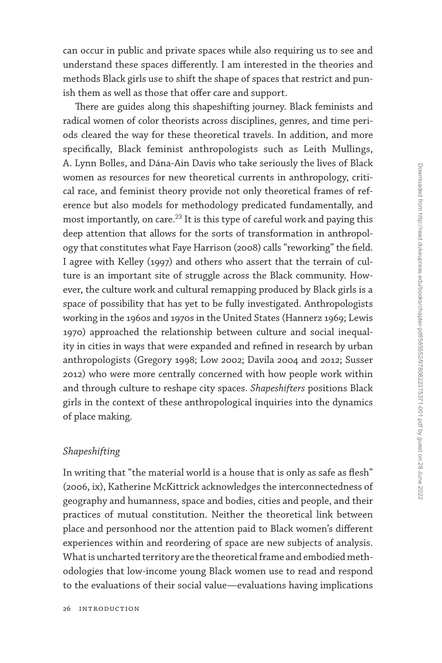can occur in public and private spaces while also requiring us to see and understand these spaces differently. I am interested in the theories and methods Black girls use to shift the shape of spaces that restrict and punish them as well as those that offer care and support.

There are guides along this shapeshifting journey. Black feminists and radical women of color theorists across disciplines, genres, and time periods cleared the way for these theoretical travels. In addition, and more specifically, Black feminist anthropologists such as Leith Mullings, A. Lynn Bolles, and Dána-Ain Davis who take seriously the lives of Black women as resources for new theoretical currents in anthropology, critical race, and feminist theory provide not only theoretical frames of reference but also models for methodology predicated fundamentally, and most importantly, on care.<sup>23</sup> It is this type of careful work and paying this deep attention that allows for the sorts of transformation in anthropology that constitutes what Faye Harrison (2008) calls "reworking" the field. I agree with Kelley (1997) and others who assert that the terrain of culture is an important site of struggle across the Black community. However, the culture work and cultural remapping produced by Black girls is a space of possibility that has yet to be fully investigated. Anthropologists working in the 1960s and 1970s in the United States (Hannerz 1969; Lewis 1970) approached the relationship between culture and social inequality in cities in ways that were expanded and refined in research by urban anthropologists (Gregory 1998; Low 2002; Davila 2004 and 2012; Susser 2012) who were more centrally concerned with how people work within and through culture to reshape city spaces. *Shapeshifters* positions Black girls in the context of these anthropological inquiries into the dynamics of place making.

#### *Shapeshifting*

In writing that "the material world is a house that is only as safe as flesh" (2006, ix), Katherine McKittrick acknowledges the interconnectedness of geography and humanness, space and bodies, cities and people, and their practices of mutual constitution. Neither the theoretical link between place and personhood nor the attention paid to Black women's different experiences within and reordering of space are new subjects of analysis. What is uncharted territory are the theoretical frame and embodied methodologies that low-income young Black women use to read and respond to the evaluations of their social value—evaluations having implications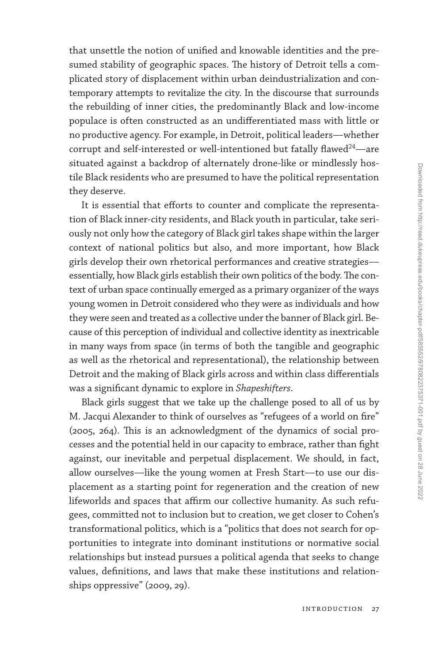that unsettle the notion of unified and knowable identities and the presumed stability of geographic spaces. The history of Detroit tells a complicated story of displacement within urban deindustrialization and contemporary attempts to revitalize the city. In the discourse that surrounds the rebuilding of inner cities, the predominantly Black and low-income populace is often constructed as an undifferentiated mass with little or no productive agency. For example, in Detroit, political leaders—whether corrupt and self-interested or well-intentioned but fatally flawed $24$ —are situated against a backdrop of alternately drone-like or mindlessly hostile Black residents who are presumed to have the political representation they deserve.

It is essential that efforts to counter and complicate the representation of Black inner-city residents, and Black youth in particular, take seriously not only how the category of Black girl takes shape within the larger context of national politics but also, and more important, how Black girls develop their own rhetorical performances and creative strategies essentially, how Black girls establish their own politics of the body. The context of urban space continually emerged as a primary organizer of the ways young women in Detroit considered who they were as individuals and how they were seen and treated as a collective under the banner of Black girl. Because of this perception of individual and collective identity as inextricable in many ways from space (in terms of both the tangible and geographic as well as the rhetorical and representational), the relationship between Detroit and the making of Black girls across and within class differentials was a significant dynamic to explore in *Shapeshifters*.

Black girls suggest that we take up the challenge posed to all of us by M. Jacqui Alexander to think of ourselves as "refugees of a world on fire" (2005, 264). This is an acknowledgment of the dynamics of social processes and the potential held in our capacity to embrace, rather than fight against, our inevitable and perpetual displacement. We should, in fact, allow ourselves—like the young women at Fresh Start—to use our displacement as a starting point for regeneration and the creation of new lifeworlds and spaces that affirm our collective humanity. As such refugees, committed not to inclusion but to creation, we get closer to Cohen's transformational politics, which is a "politics that does not search for opportunities to integrate into dominant institutions or normative social relationships but instead pursues a political agenda that seeks to change values, definitions, and laws that make these institutions and relationships oppressive" (2009, 29).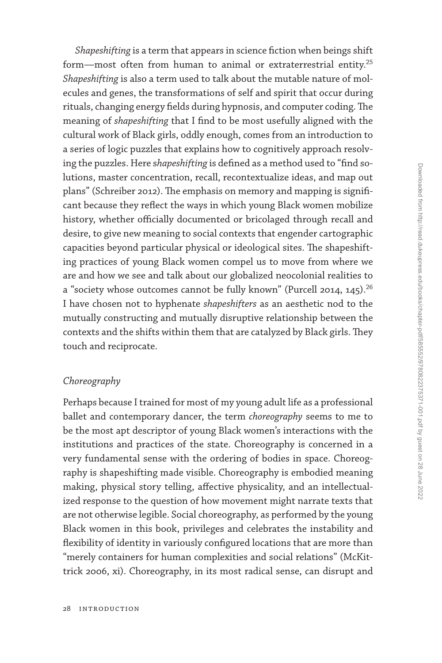*Shapeshifting* is a term that appears in science fiction when beings shift form—most often from human to animal or extraterrestrial entity.<sup>[25](#page--1-0)</sup> *Shapeshifting* is also a term used to talk about the mutable nature of molecules and genes, the transformations of self and spirit that occur during rituals, changing energy fields during hypnosis, and computer coding. The meaning of *shapeshifting* that I find to be most usefully aligned with the cultural work of Black girls, oddly enough, comes from an introduction to a series of logic puzzles that explains how to cognitively approach resolving the puzzles. Here s*hapeshifting* is defined as a method used to "find solutions, master concentration, recall, recontextualize ideas, and map out plans" (Schreiber 2012). The emphasis on memory and mapping is significant because they reflect the ways in which young Black women mobilize history, whether officially documented or bricolaged through recall and desire, to give new meaning to social contexts that engender cartographic capacities beyond particular physical or ideological sites. The shapeshifting practices of young Black women compel us to move from where we are and how we see and talk about our globalized neocolonial realities to a "society whose outcomes cannot be fully known" (Purcell 2014, 145).<sup>[26](#page--1-0)</sup> I have chosen not to hyphenate *shapeshifters* as an aesthetic nod to the mutually constructing and mutually disruptive relationship between the contexts and the shifts within them that are catalyzed by Black girls. They touch and reciprocate.

# *Choreography*

Perhaps because I trained for most of my young adult life as a professional ballet and contemporary dancer, the term *choreography* seems to me to be the most apt descriptor of young Black women's interactions with the institutions and practices of the state. Choreography is concerned in a very fundamental sense with the ordering of bodies in space. Choreography is shapeshifting made visible. Choreography is embodied meaning making, physical story telling, affective physicality, and an intellectualized response to the question of how movement might narrate texts that are not otherwise legible. Social choreography, as performed by the young Black women in this book, privileges and celebrates the instability and flexibility of identity in variously configured locations that are more than "merely containers for human complexities and social relations" (McKittrick 2006, xi). Choreography, in its most radical sense, can disrupt and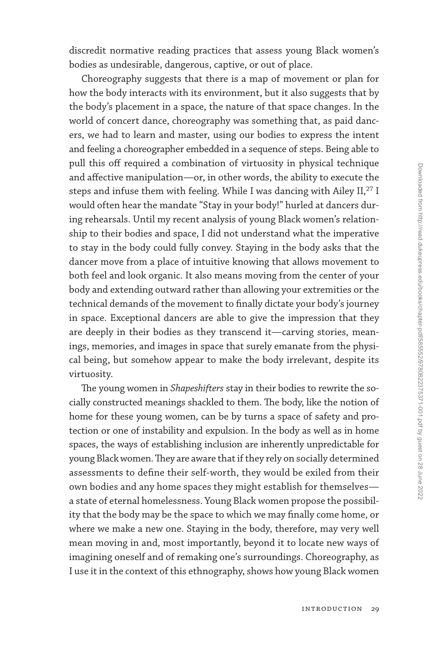discredit normative reading practices that assess young Black women's bodies as undesirable, dangerous, captive, or out of place.

Choreography suggests that there is a map of movement or plan for how the body interacts with its environment, but it also suggests that by the body's placement in a space, the nature of that space changes. In the world of concert dance, choreography was something that, as paid dancers, we had to learn and master, using our bodies to express the intent and feeling a choreographer embedded in a sequence of steps. Being able to pull this off required a combination of virtuosity in physical technique and affective manipulation—or, in other words, the ability to execute the steps and infuse them with feeling. While I was dancing with Ailey II, $^{27}$  I would often hear the mandate "Stay in your body!" hurled at dancers during rehearsals. Until my recent analysis of young Black women's relationship to their bodies and space, I did not understand what the imperative to stay in the body could fully convey. Staying in the body asks that the dancer move from a place of intuitive knowing that allows movement to both feel and look organic. It also means moving from the center of your body and extending outward rather than allowing your extremities or the technical demands of the movement to finally dictate your body's journey in space. Exceptional dancers are able to give the impression that they are deeply in their bodies as they transcend it—carving stories, meanings, memories, and images in space that surely emanate from the physical being, but somehow appear to make the body irrelevant, despite its virtuosity.

The young women in *Shapeshifters* stay in their bodies to rewrite the socially constructed meanings shackled to them. The body, like the notion of home for these young women, can be by turns a space of safety and protection or one of instability and expulsion. In the body as well as in home spaces, the ways of establishing inclusion are inherently unpredictable for young Black women. They are aware that if they rely on socially determined assessments to define their self-worth, they would be exiled from their own bodies and any home spaces they might establish for themselves a state of eternal homelessness. Young Black women propose the possibility that the body may be the space to which we may finally come home, or where we make a new one. Staying in the body, therefore, may very well mean moving in and, most importantly, beyond it to locate new ways of imagining oneself and of remaking one's surroundings. Choreography, as I use it in the context of this ethnography, shows how young Black women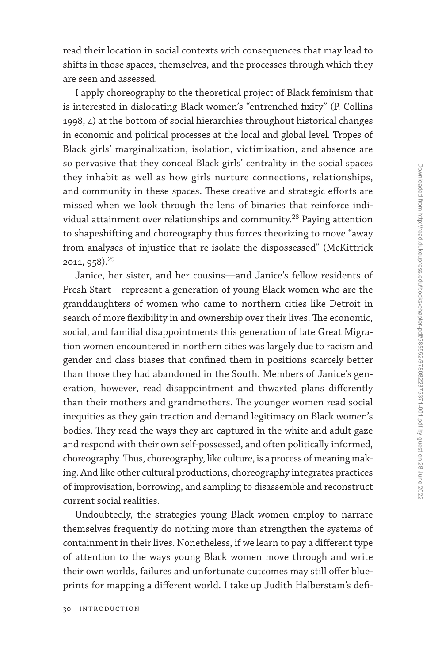read their location in social contexts with consequences that may lead to shifts in those spaces, themselves, and the processes through which they are seen and assessed.

I apply choreography to the theoretical project of Black feminism that is interested in dislocating Black women's "entrenched fixity" (P. Collins 1998, 4) at the bottom of social hierarchies throughout historical changes in economic and political processes at the local and global level. Tropes of Black girls' marginalization, isolation, victimization, and absence are so pervasive that they conceal Black girls' centrality in the social spaces they inhabit as well as how girls nurture connections, relationships, and community in these spaces. These creative and strategic efforts are missed when we look through the lens of binaries that reinforce individual attainment over relationships and community.<sup>28</sup> Paying attention to shapeshifting and choreography thus forces theorizing to move "away from analyses of injustice that re-isolate the dispossessed" (McKittrick 2011, 958). $29$ 

Janice, her sister, and her cousins—and Janice's fellow residents of Fresh Start—represent a generation of young Black women who are the granddaughters of women who came to northern cities like Detroit in search of more flexibility in and ownership over their lives. The economic, social, and familial disappointments this generation of late Great Migration women encountered in northern cities was largely due to racism and gender and class biases that confined them in positions scarcely better than those they had abandoned in the South. Members of Janice's generation, however, read disappointment and thwarted plans differently than their mothers and grandmothers. The younger women read social inequities as they gain traction and demand legitimacy on Black women's bodies. They read the ways they are captured in the white and adult gaze and respond with their own self-possessed, and often politically informed, choreography. Thus, choreography, like culture, is a process of meaning making. And like other cultural productions, choreography integrates practices of improvisation, borrowing, and sampling to disassemble and reconstruct current social realities.

Undoubtedly, the strategies young Black women employ to narrate themselves frequently do nothing more than strengthen the systems of containment in their lives. Nonetheless, if we learn to pay a different type of attention to the ways young Black women move through and write their own worlds, failures and unfortunate outcomes may still offer blueprints for mapping a different world. I take up Judith Halberstam's defi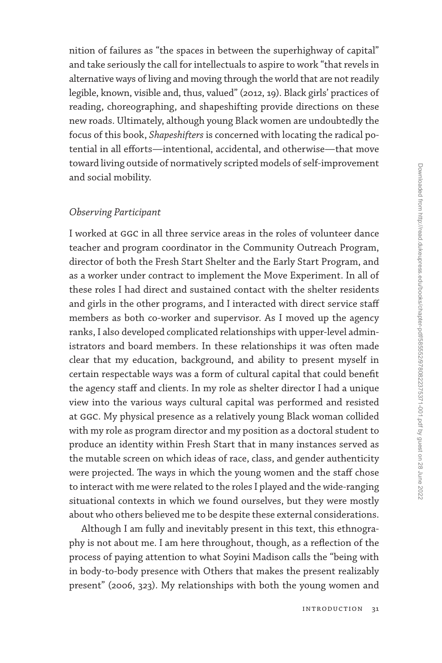nition of failures as "the spaces in between the superhighway of capital" and take seriously the call for intellectuals to aspire to work "that revels in alternative ways of living and moving through the world that are not readily legible, known, visible and, thus, valued" (2012, 19). Black girls' practices of reading, choreographing, and shapeshifting provide directions on these new roads. Ultimately, although young Black women are undoubtedly the focus of this book, *Shapeshifters* is concerned with locating the radical potential in all efforts—intentional, accidental, and otherwise—that move toward living outside of normatively scripted models of self-improvement and social mobility.

#### *Observing Participant*

I worked at ggc in all three service areas in the roles of volunteer dance teacher and program coordinator in the Community Outreach Program, director of both the Fresh Start Shelter and the Early Start Program, and as a worker under contract to implement the Move Experiment. In all of these roles I had direct and sustained contact with the shelter residents and girls in the other programs, and I interacted with direct service staff members as both co-worker and supervisor. As I moved up the agency ranks, I also developed complicated relationships with upper-level administrators and board members. In these relationships it was often made clear that my education, background, and ability to present myself in certain respectable ways was a form of cultural capital that could benefit the agency staff and clients. In my role as shelter director I had a unique view into the various ways cultural capital was performed and resisted at ggc. My physical presence as a relatively young Black woman collided with my role as program director and my position as a doctoral student to produce an identity within Fresh Start that in many instances served as the mutable screen on which ideas of race, class, and gender authenticity were projected. The ways in which the young women and the staff chose to interact with me were related to the roles I played and the wide-ranging situational contexts in which we found ourselves, but they were mostly about who others believed me to be despite these external considerations.

Although I am fully and inevitably present in this text, this ethnography is not about me. I am here throughout, though, as a reflection of the process of paying attention to what Soyini Madison calls the "being with in body-to-body presence with Others that makes the present realizably present" (2006, 323). My relationships with both the young women and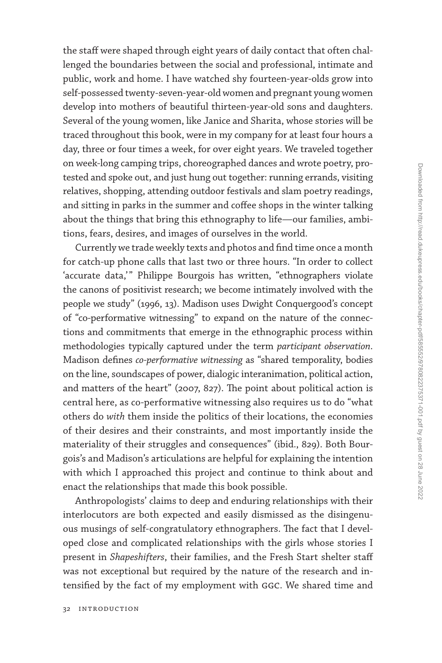the staff were shaped through eight years of daily contact that often challenged the boundaries between the social and professional, intimate and public, work and home. I have watched shy fourteen-year-olds grow into self-possessed twenty-seven-year-old women and pregnant young women develop into mothers of beautiful thirteen-year-old sons and daughters. Several of the young women, like Janice and Sharita, whose stories will be traced throughout this book, were in my company for at least four hours a day, three or four times a week, for over eight years. We traveled together on week-long camping trips, choreographed dances and wrote poetry, protested and spoke out, and just hung out together: running errands, visiting relatives, shopping, attending outdoor festivals and slam poetry readings, and sitting in parks in the summer and coffee shops in the winter talking about the things that bring this ethnography to life—our families, ambitions, fears, desires, and images of ourselves in the world.

Currently we trade weekly texts and photos and find time once a month for catch-up phone calls that last two or three hours. "In order to collect 'accurate data,'" Philippe Bourgois has written, "ethnographers violate the canons of positivist research; we become intimately involved with the people we study" (1996, 13). Madison uses Dwight Conquergood's concept of "co-performative witnessing" to expand on the nature of the connections and commitments that emerge in the ethnographic process within methodologies typically captured under the term *participant observation*. Madison defines *co-performative witnessing* as "shared temporality, bodies on the line, soundscapes of power, dialogic interanimation, political action, and matters of the heart" (2007, 827). The point about political action is central here, as co-performative witnessing also requires us to do "what others do *with* them inside the politics of their locations, the economies of their desires and their constraints, and most importantly inside the materiality of their struggles and consequences" (ibid., 829). Both Bourgois's and Madison's articulations are helpful for explaining the intention with which I approached this project and continue to think about and enact the relationships that made this book possible.

Anthropologists' claims to deep and enduring relationships with their interlocutors are both expected and easily dismissed as the disingenuous musings of self-congratulatory ethnographers. The fact that I developed close and complicated relationships with the girls whose stories I present in *Shapeshifters*, their families, and the Fresh Start shelter staff was not exceptional but required by the nature of the research and intensified by the fact of my employment with ggc. We shared time and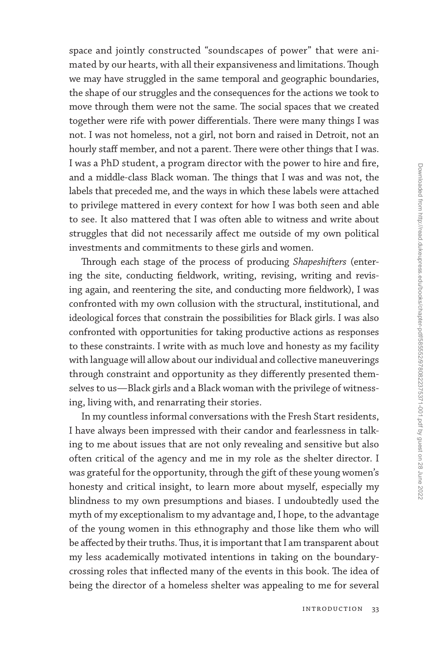space and jointly constructed "soundscapes of power" that were animated by our hearts, with all their expansiveness and limitations. Though we may have struggled in the same temporal and geographic boundaries, the shape of our struggles and the consequences for the actions we took to move through them were not the same. The social spaces that we created together were rife with power differentials. There were many things I was not. I was not homeless, not a girl, not born and raised in Detroit, not an hourly staff member, and not a parent. There were other things that I was. I was a PhD student, a program director with the power to hire and fire, and a middle-class Black woman. The things that I was and was not, the labels that preceded me, and the ways in which these labels were attached to privilege mattered in every context for how I was both seen and able to see. It also mattered that I was often able to witness and write about struggles that did not necessarily affect me outside of my own political investments and commitments to these girls and women.

Through each stage of the process of producing *Shapeshifters* (entering the site, conducting fieldwork, writing, revising, writing and revising again, and reentering the site, and conducting more fieldwork), I was confronted with my own collusion with the structural, institutional, and ideological forces that constrain the possibilities for Black girls. I was also confronted with opportunities for taking productive actions as responses to these constraints. I write with as much love and honesty as my facility with language will allow about our individual and collective maneuverings through constraint and opportunity as they differently presented themselves to us—Black girls and a Black woman with the privilege of witnessing, living with, and renarrating their stories.

In my countless informal conversations with the Fresh Start residents, I have always been impressed with their candor and fearlessness in talking to me about issues that are not only revealing and sensitive but also often critical of the agency and me in my role as the shelter director. I was grateful for the opportunity, through the gift of these young women's honesty and critical insight, to learn more about myself, especially my blindness to my own presumptions and biases. I undoubtedly used the myth of my exceptionalism to my advantage and, I hope, to the advantage of the young women in this ethnography and those like them who will be affected by their truths. Thus, it is important that I am transparent about my less academically motivated intentions in taking on the boundarycrossing roles that inflected many of the events in this book. The idea of being the director of a homeless shelter was appealing to me for several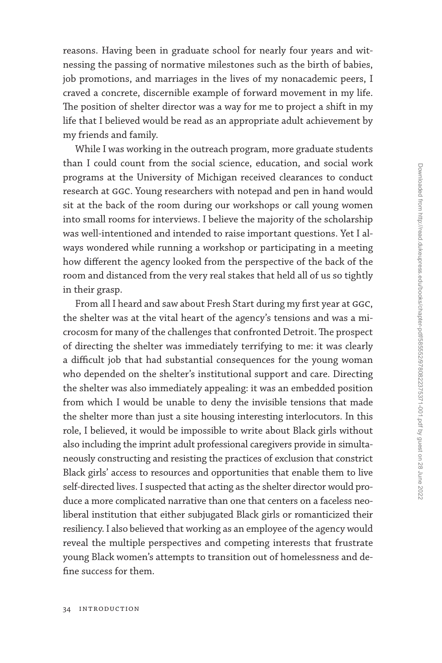reasons. Having been in graduate school for nearly four years and witnessing the passing of normative milestones such as the birth of babies, job promotions, and marriages in the lives of my nonacademic peers, I craved a concrete, discernible example of forward movement in my life. The position of shelter director was a way for me to project a shift in my life that I believed would be read as an appropriate adult achievement by my friends and family.

While I was working in the outreach program, more graduate students than I could count from the social science, education, and social work programs at the University of Michigan received clearances to conduct research at ggc. Young researchers with notepad and pen in hand would sit at the back of the room during our workshops or call young women into small rooms for interviews. I believe the majority of the scholarship was well-intentioned and intended to raise important questions. Yet I always wondered while running a workshop or participating in a meeting how different the agency looked from the perspective of the back of the room and distanced from the very real stakes that held all of us so tightly in their grasp.

From all I heard and saw about Fresh Start during my first year at GGC, the shelter was at the vital heart of the agency's tensions and was a microcosm for many of the challenges that confronted Detroit. The prospect of directing the shelter was immediately terrifying to me: it was clearly a difficult job that had substantial consequences for the young woman who depended on the shelter's institutional support and care. Directing the shelter was also immediately appealing: it was an embedded position from which I would be unable to deny the invisible tensions that made the shelter more than just a site housing interesting interlocutors. In this role, I believed, it would be impossible to write about Black girls without also including the imprint adult professional caregivers provide in simultaneously constructing and resisting the practices of exclusion that constrict Black girls' access to resources and opportunities that enable them to live self-directed lives. I suspected that acting as the shelter director would produce a more complicated narrative than one that centers on a faceless neoliberal institution that either subjugated Black girls or romanticized their resiliency. I also believed that working as an employee of the agency would reveal the multiple perspectives and competing interests that frustrate young Black women's attempts to transition out of homelessness and define success for them.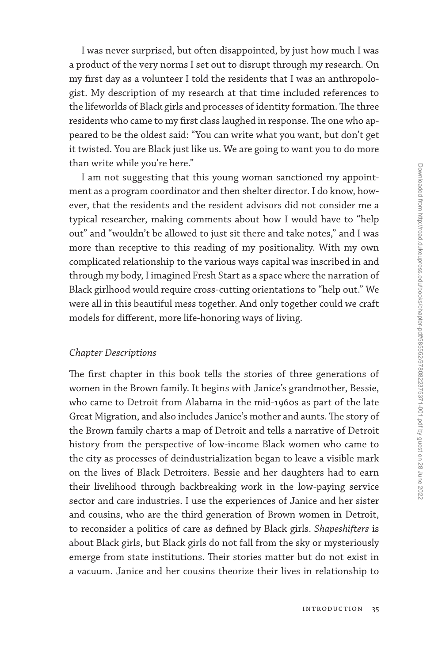I was never surprised, but often disappointed, by just how much I was a product of the very norms I set out to disrupt through my research. On my first day as a volunteer I told the residents that I was an anthropologist. My description of my research at that time included references to the lifeworlds of Black girls and processes of identity formation. The three residents who came to my first class laughed in response. The one who appeared to be the oldest said: "You can write what you want, but don't get it twisted. You are Black just like us. We are going to want you to do more than write while you're here."

I am not suggesting that this young woman sanctioned my appointment as a program coordinator and then shelter director. I do know, however, that the residents and the resident advisors did not consider me a typical researcher, making comments about how I would have to "help out" and "wouldn't be allowed to just sit there and take notes," and I was more than receptive to this reading of my positionality. With my own complicated relationship to the various ways capital was inscribed in and through my body, I imagined Fresh Start as a space where the narration of Black girlhood would require cross-cutting orientations to "help out." We were all in this beautiful mess together. And only together could we craft models for different, more life-honoring ways of living.

#### *Chapter Descriptions*

The first chapter in this book tells the stories of three generations of women in the Brown family. It begins with Janice's grandmother, Bessie, who came to Detroit from Alabama in the mid-1960s as part of the late Great Migration, and also includes Janice's mother and aunts. The story of the Brown family charts a map of Detroit and tells a narrative of Detroit history from the perspective of low-income Black women who came to the city as processes of deindustrialization began to leave a visible mark on the lives of Black Detroiters. Bessie and her daughters had to earn their livelihood through backbreaking work in the low-paying service sector and care industries. I use the experiences of Janice and her sister and cousins, who are the third generation of Brown women in Detroit, to reconsider a politics of care as defined by Black girls. *Shapeshifters* is about Black girls, but Black girls do not fall from the sky or mysteriously emerge from state institutions. Their stories matter but do not exist in a vacuum. Janice and her cousins theorize their lives in relationship to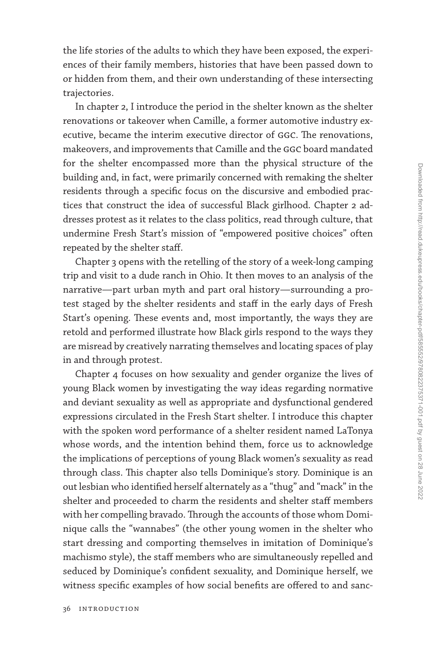the life stories of the adults to which they have been exposed, the experiences of their family members, histories that have been passed down to or hidden from them, and their own understanding of these intersecting trajectories.

In chapter 2, I introduce the period in the shelter known as the shelter renovations or takeover when Camille, a former automotive industry executive, became the interim executive director of ggc. The renovations, makeovers, and improvements that Camille and the ggc board mandated for the shelter encompassed more than the physical structure of the building and, in fact, were primarily concerned with remaking the shelter residents through a specific focus on the discursive and embodied practices that construct the idea of successful Black girlhood. Chapter 2 addresses protest as it relates to the class politics, read through culture, that undermine Fresh Start's mission of "empowered positive choices" often repeated by the shelter staff.

Chapter 3 opens with the retelling of the story of a week-long camping trip and visit to a dude ranch in Ohio. It then moves to an analysis of the narrative—part urban myth and part oral history—surrounding a protest staged by the shelter residents and staff in the early days of Fresh Start's opening. These events and, most importantly, the ways they are retold and performed illustrate how Black girls respond to the ways they are misread by creatively narrating themselves and locating spaces of play in and through protest.

Chapter 4 focuses on how sexuality and gender organize the lives of young Black women by investigating the way ideas regarding normative and deviant sexuality as well as appropriate and dysfunctional gendered expressions circulated in the Fresh Start shelter. I introduce this chapter with the spoken word performance of a shelter resident named LaTonya whose words, and the intention behind them, force us to acknowledge the implications of perceptions of young Black women's sexuality as read through class. This chapter also tells Dominique's story. Dominique is an out lesbian who identified herself alternately as a "thug" and "mack" in the shelter and proceeded to charm the residents and shelter staff members with her compelling bravado. Through the accounts of those whom Dominique calls the "wannabes" (the other young women in the shelter who start dressing and comporting themselves in imitation of Dominique's machismo style), the staff members who are simultaneously repelled and seduced by Dominique's confident sexuality, and Dominique herself, we witness specific examples of how social benefits are offered to and sanc